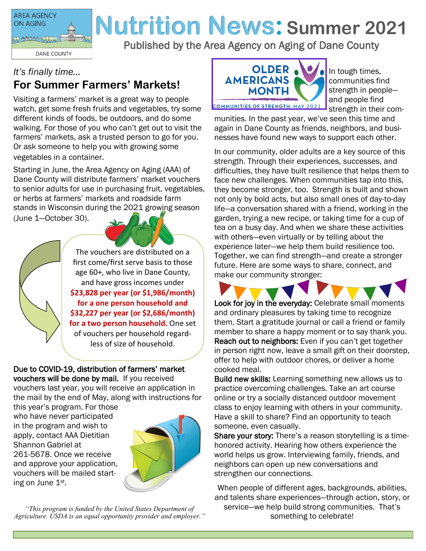

# **Nutrition News: Summer 2021**

Published by the Area Agency on Aging of Dane County

### *It's finally time…* **For Summer Farmers' Markets!**

Visiting a farmers' market is a great way to people watch, get some fresh fruits and vegetables, try some different kinds of foods, be outdoors, and do some walking. For those of you who can't get out to visit the farmers' markets, ask a trusted person to go for you. Or ask someone to help you with growing some vegetables in a container.

Starting in June, the Area Agency on Aging (AAA) of Dane County will distribute farmers' market vouchers to senior adults for use in purchasing fruit, vegetables, or herbs at farmers' markets and roadside farm stands in Wisconsin during the 2021 growing season (June 1—October 30).

> The vouchers are distributed on a first come/first serve basis to those age 60+, who live in Dane County, and have gross incomes under **\$23,828 per year (or \$1,986/month) for a one person household and \$32,227 per year (or \$2,686/month) for a two person household.** One set of vouchers per household regardless of size of household.

Due to COVID-19, distribution of farmers' market vouchers will be done by mail. If you received vouchers last year, you will receive an application in the mail by the end of May, along with instructions for

this year's program. For those who have never participated in the program and wish to apply, contact AAA Dietitian Shannon Gabriel at 261-5678. Once we receive and approve your application, vouchers will be mailed starting on June 1st.



*"This program is funded by the United States Department of Agriculture. USDA is an equal opportunity provider and employer."*



In tough times, communities find strength in people and people find strength in their com-

munities. In the past year, we've seen this time and again in Dane County as friends, neighbors, and businesses have found new ways to support each other.

In our community, older adults are a key source of this strength. Through their experiences, successes, and difficulties, they have built resilience that helps them to face new challenges. When communities tap into this, they become stronger, too. Strength is built and shown not only by bold acts, but also small ones of day-to-day life—a conversation shared with a friend, working in the garden, trying a new recipe, or taking time for a cup of tea on a busy day. And when we share these activities with others—even virtually or by telling about the experience later—we help them build resilience too. Together, we can find strength—and create a stronger future. Here are some ways to share, connect, and make our community stronger:



Look for joy in the everyday: Celebrate small moments and ordinary pleasures by taking time to recognize them. Start a gratitude journal or call a friend or family member to share a happy moment or to say thank you. Reach out to neighbors: Even if you can't get together in person right now, leave a small gift on their doorstep, offer to help with outdoor chores, or deliver a home cooked meal.

Build new skills: Learning something new allows us to practice overcoming challenges. Take an art course online or try a socially distanced outdoor movement class to enjoy learning with others in your community. Have a skill to share? Find an opportunity to teach someone, even casually.

Share your story: There's a reason storytelling is a timehonored activity. Hearing how others experience the world helps us grow. Interviewing family, friends, and neighbors can open up new conversations and strengthen our connections.

When people of different ages, backgrounds, abilities, and talents share experiences—through action, story, or service—we help build strong communities. That's something to celebrate!